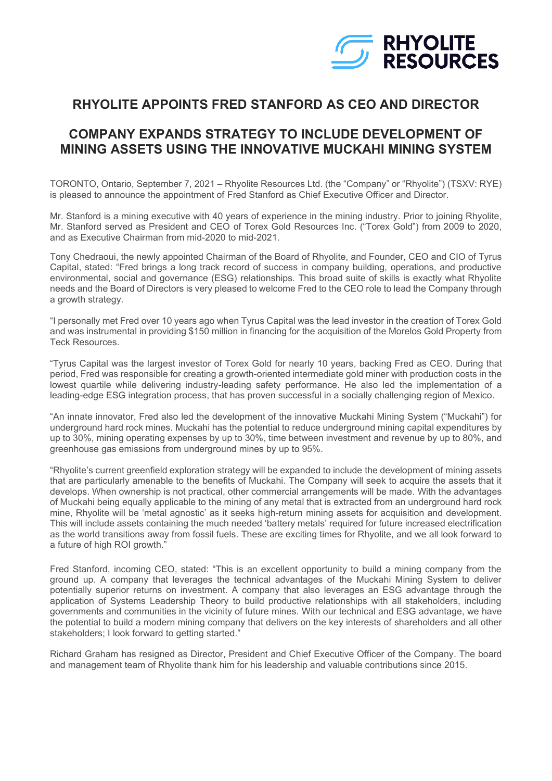

## **RHYOLITE APPOINTS FRED STANFORD AS CEO AND DIRECTOR**

## **COMPANY EXPANDS STRATEGY TO INCLUDE DEVELOPMENT OF MINING ASSETS USING THE INNOVATIVE MUCKAHI MINING SYSTEM**

TORONTO, Ontario, September 7, 2021 – Rhyolite Resources Ltd. (the "Company" or "Rhyolite") (TSXV: RYE) is pleased to announce the appointment of Fred Stanford as Chief Executive Officer and Director.

Mr. Stanford is a mining executive with 40 years of experience in the mining industry. Prior to joining Rhyolite, Mr. Stanford served as President and CEO of Torex Gold Resources Inc. ("Torex Gold") from 2009 to 2020, and as Executive Chairman from mid-2020 to mid-2021.

Tony Chedraoui, the newly appointed Chairman of the Board of Rhyolite, and Founder, CEO and CIO of Tyrus Capital, stated: "Fred brings a long track record of success in company building, operations, and productive environmental, social and governance (ESG) relationships. This broad suite of skills is exactly what Rhyolite needs and the Board of Directors is very pleased to welcome Fred to the CEO role to lead the Company through a growth strategy.

"I personally met Fred over 10 years ago when Tyrus Capital was the lead investor in the creation of Torex Gold and was instrumental in providing \$150 million in financing for the acquisition of the Morelos Gold Property from Teck Resources.

"Tyrus Capital was the largest investor of Torex Gold for nearly 10 years, backing Fred as CEO. During that period, Fred was responsible for creating a growth-oriented intermediate gold miner with production costs in the lowest quartile while delivering industry-leading safety performance. He also led the implementation of a leading-edge ESG integration process, that has proven successful in a socially challenging region of Mexico.

"An innate innovator, Fred also led the development of the innovative Muckahi Mining System ("Muckahi") for underground hard rock mines. Muckahi has the potential to reduce underground mining capital expenditures by up to 30%, mining operating expenses by up to 30%, time between investment and revenue by up to 80%, and greenhouse gas emissions from underground mines by up to 95%.

"Rhyolite's current greenfield exploration strategy will be expanded to include the development of mining assets that are particularly amenable to the benefits of Muckahi. The Company will seek to acquire the assets that it develops. When ownership is not practical, other commercial arrangements will be made. With the advantages of Muckahi being equally applicable to the mining of any metal that is extracted from an underground hard rock mine, Rhyolite will be 'metal agnostic' as it seeks high-return mining assets for acquisition and development. This will include assets containing the much needed 'battery metals' required for future increased electrification as the world transitions away from fossil fuels. These are exciting times for Rhyolite, and we all look forward to a future of high ROI growth."

Fred Stanford, incoming CEO, stated: "This is an excellent opportunity to build a mining company from the ground up. A company that leverages the technical advantages of the Muckahi Mining System to deliver potentially superior returns on investment. A company that also leverages an ESG advantage through the application of Systems Leadership Theory to build productive relationships with all stakeholders, including governments and communities in the vicinity of future mines. With our technical and ESG advantage, we have the potential to build a modern mining company that delivers on the key interests of shareholders and all other stakeholders; I look forward to getting started."

Richard Graham has resigned as Director, President and Chief Executive Officer of the Company. The board and management team of Rhyolite thank him for his leadership and valuable contributions since 2015.